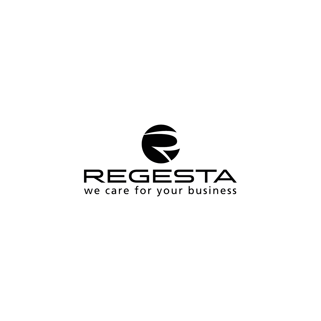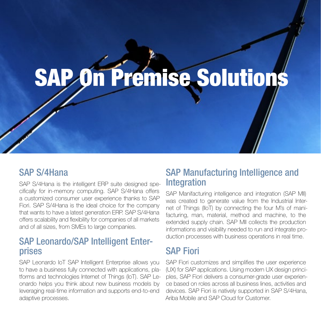# SAP On Premise Solutions

#### SAP S/4Hana

SAP S/4Hana is the intelligent ERP suite designed specifically for in-memory computing. SAP S/4Hana offers a customized consumer user experience thanks to SAP Fiori. SAP S/4Hana is the ideal choice for the company that wants to have a latest generation ERP. SAP S/4Hana offers scalability and flexibility for companies of all markets and of all sizes, from SMEs to large companies.

#### SAP Leonardo/SAP Intelligent Enterprises

SAP Leonardo IoT SAP Intelligent Enterprise allows you to have a business fully connected with applications, platforms and technologies Internet of Things (IoT). SAP Leonardo helps you think about new business models by leveraging real-time information and supports end-to-end adaptive processes.

#### SAP Manufacturing Intelligence and **Integration**

SAP Manifacturing intelligence and integration (SAP MII) was created to generate value from the Industrial Internet of Things (IIoT) by connecting the four M's of manifacturing, man, material, method and machine, to the extended supply chain. SAP MII collects the production informations and visibility needed to run and integrate production processes with business operations in real time.

### SAP Fiori

SAP Fiori customizes and simplifies the user experience (UX) for SAP applications. Using modern UX design principles, SAP Fiori delivers a consumer-grade user experience based on roles across all business lines, activities and devices. SAP Fiori is natively supported in SAP S/4Hana, Ariba Mobile and SAP Cloud for Customer.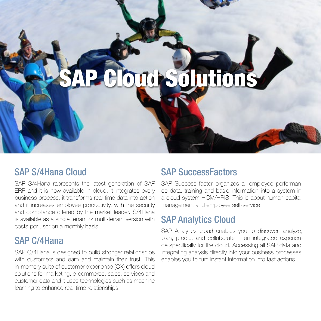## SAP Cloud Solutions

#### SAP S/4Hana Cloud

SAP S/4Hana rapresents the latest generation of SAP ERP and it is now available in cloud. It integrates every business process, it transforms real-time data into action and it increases employee productivity, with the security and compliance offered by the market leader. S/4Hana is available as a single tenant or multi-tenant version with costs per user on a monthly basis.

#### SAP C/4Hana

SAP C/4Hana is designed to build stronger relationships with customers and earn and maintain their trust. This in-memory suite of customer experience (CX) offers cloud solutions for marketing, e-commerce, sales, services and customer data and it uses technologies such as machine learning to enhance real-time relationships.

#### SAP SuccessFactors

SAP Success factor organizes all employee performance data, training and basic information into a system in a cloud system HCM/HRIS. This is about human capital management and employee self-service.

#### SAP Analytics Cloud

SAP Analytics cloud enables you to discover, analyze, plan, predict and collaborate in an integrated experience specifically for the cloud. Accessing all SAP data and integrating analysis directly into your business processes enables you to turn instant information into fast actions.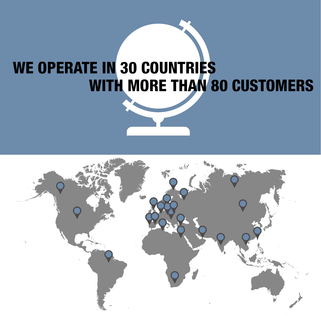### WE OPERATE IN 30 COUNTRIES WITH MORE THAN 80 CUSTOMERS

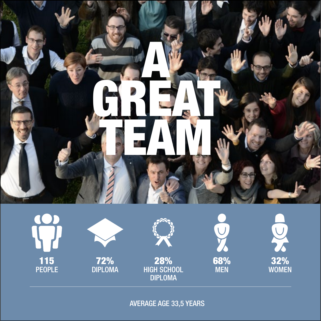

115 PEOPLE





28% HIGH SCHOOL DIPLOMA



32% WOMEN

AVERAGE AGE 33,5 YEARS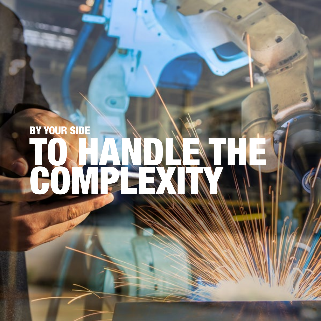# BY YOUR SIDE TO HANDLE THE COMPLEXIN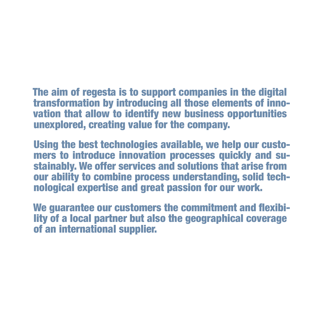The aim of regesta is to support companies in the digital transformation by introducing all those elements of innovation that allow to identify new business opportunities unexplored, creating value for the company.

Using the best technologies available, we help our customers to introduce innovation processes quickly and sustainably. We offer services and solutions that arise from our ability to combine process understanding, solid technological expertise and great passion for our work.

We guarantee our customers the commitment and flexibility of a local partner but also the geographical coverage of an international supplier.